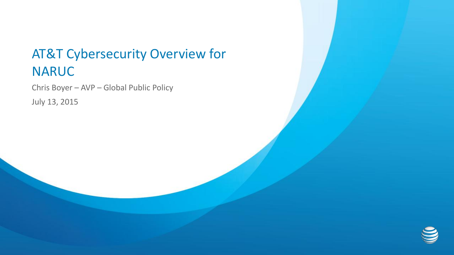## AT&T Cybersecurity Overview for NARUC

Chris Boyer – AVP – Global Public Policy

July 13, 2015

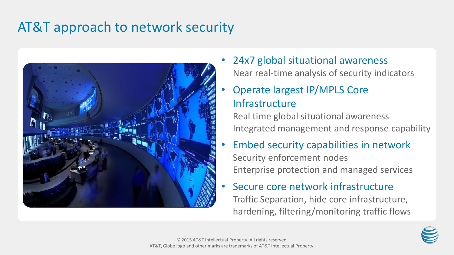# AT&T approach to network security



24x7 global situational awareness Near real-time analysis of security indicators

### • Operate largest IP/MPLS Core Infrastructure

Real time global situational awareness Integrated management and response capability

- Embed security capabilities in network Security enforcement nodes Enterprise protection and managed services
- Secure core network infrastructure Traffic Separation, hide core infrastructure, hardening, filtering/monitoring traffic flows

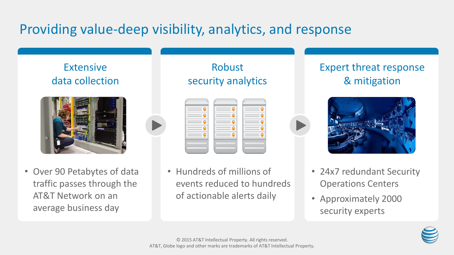# Providing value-deep visibility, analytics, and response

### Extensive data collection



• Over 90 Petabytes of data traffic passes through the AT&T Network on an average business day

#### Robust security analytics

• Hundreds of millions of events reduced to hundreds of actionable alerts daily

### Expert threat response & mitigation



- 24x7 redundant Security Operations Centers
- Approximately 2000 security experts

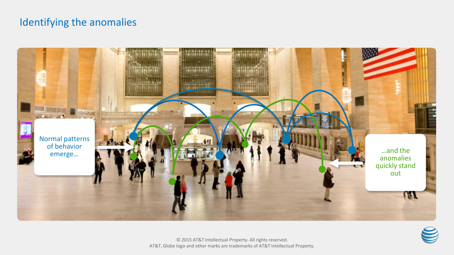#### Identifying the anomalies



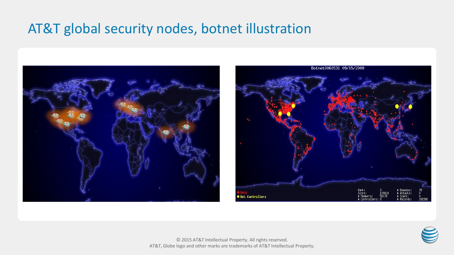### AT&T global security nodes, botnet illustration





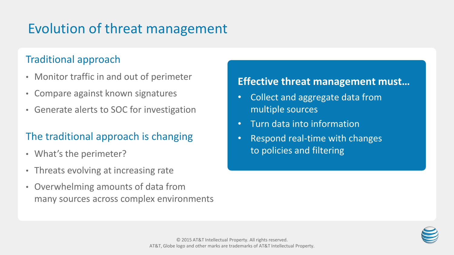# Evolution of threat management

#### Traditional approach

- Monitor traffic in and out of perimeter
- Compare against known signatures
- Generate alerts to SOC for investigation

### The traditional approach is changing

- What's the perimeter?
- Threats evolving at increasing rate
- Overwhelming amounts of data from many sources across complex environments

#### **Effective threat management must…**

- Collect and aggregate data from multiple sources
- Turn data into information
- Respond real-time with changes to policies and filtering

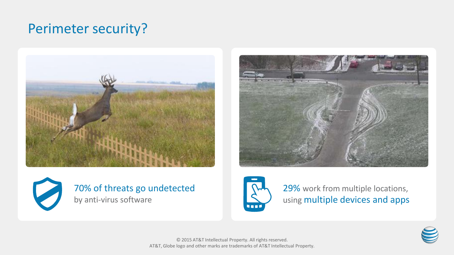# Perimeter security?







#### 70% of threats go undetected by anti-virus software



29% work from multiple locations, using multiple devices and apps

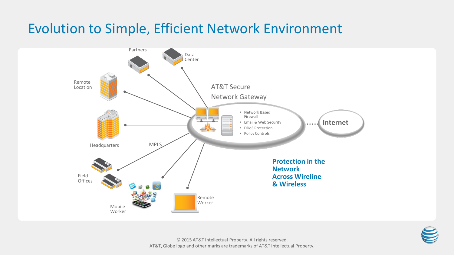## Evolution to Simple, Efficient Network Environment



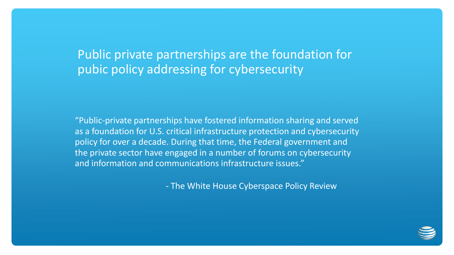Public private partnerships are the foundation for pubic policy addressing for cybersecurity

"Public-private partnerships have fostered information sharing and served as a foundation for U.S. critical infrastructure protection and cybersecurity policy for over a decade. During that time, the Federal government and the private sector have engaged in a number of forums on cybersecurity and information and communications infrastructure issues."

- The White House Cyberspace Policy Review

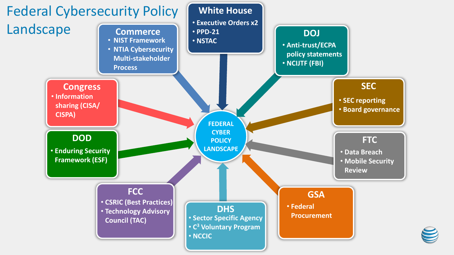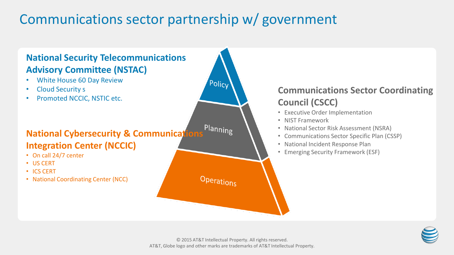# Communications sector partnership w/ government



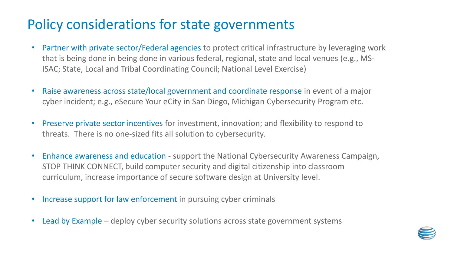## Policy considerations for state governments

- Partner with private sector/Federal agencies to protect critical infrastructure by leveraging work that is being done in being done in various federal, regional, state and local venues (e.g., MS-ISAC; State, Local and Tribal Coordinating Council; National Level Exercise)
- Raise awareness across state/local government and coordinate response in event of a major cyber incident; e.g., eSecure Your eCity in San Diego, Michigan Cybersecurity Program etc.
- Preserve private sector incentives for investment, innovation; and flexibility to respond to threats. There is no one-sized fits all solution to cybersecurity.
- Enhance awareness and education support the National Cybersecurity Awareness Campaign, STOP THINK CONNECT, build computer security and digital citizenship into classroom curriculum, increase importance of secure software design at University level.
- Increase support for law enforcement in pursuing cyber criminals
- Lead by Example deploy cyber security solutions across state government systems